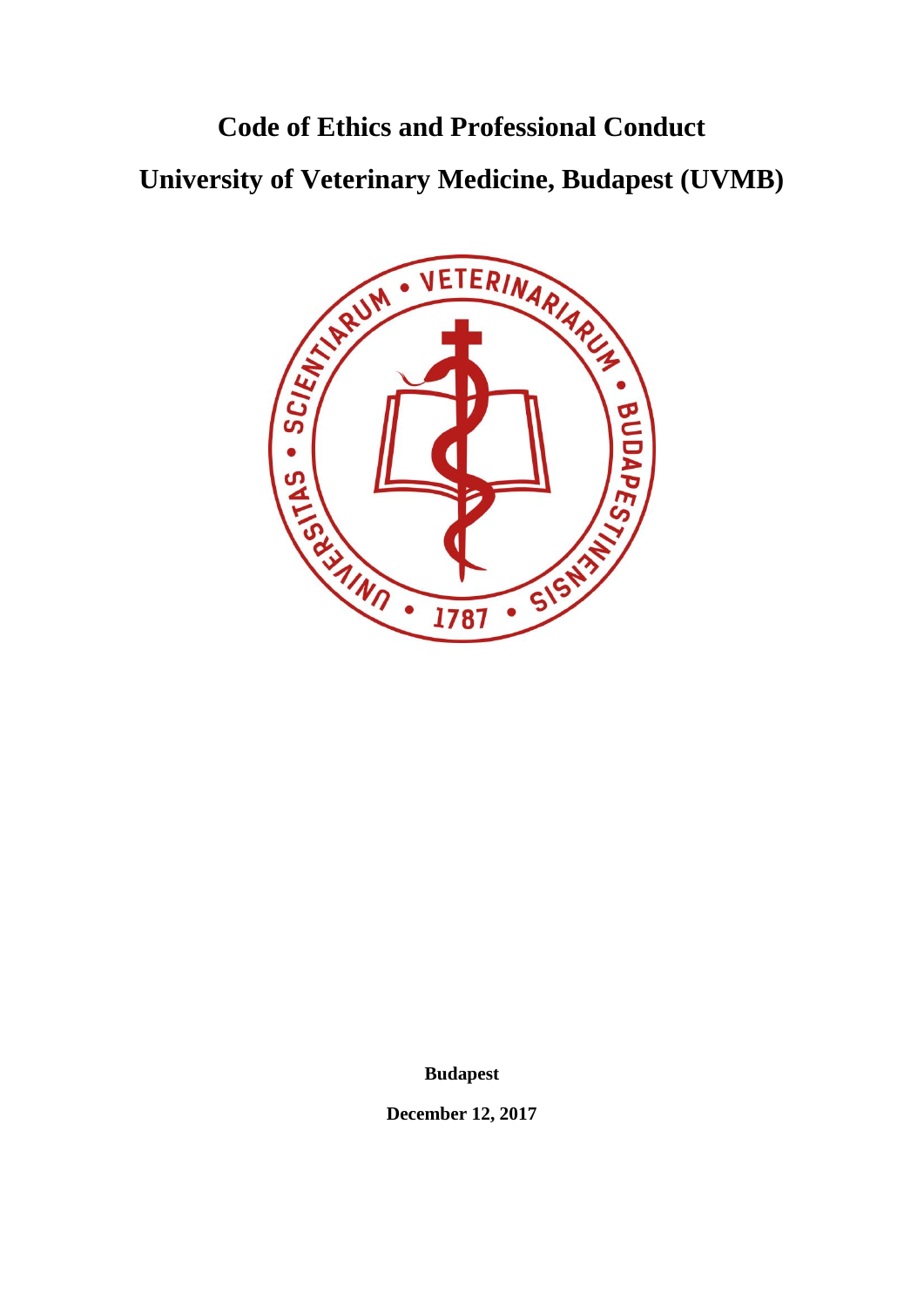# **University of Veterinary Medicine, Budapest (UVMB)**



**Budapest**

**December 12, 2017**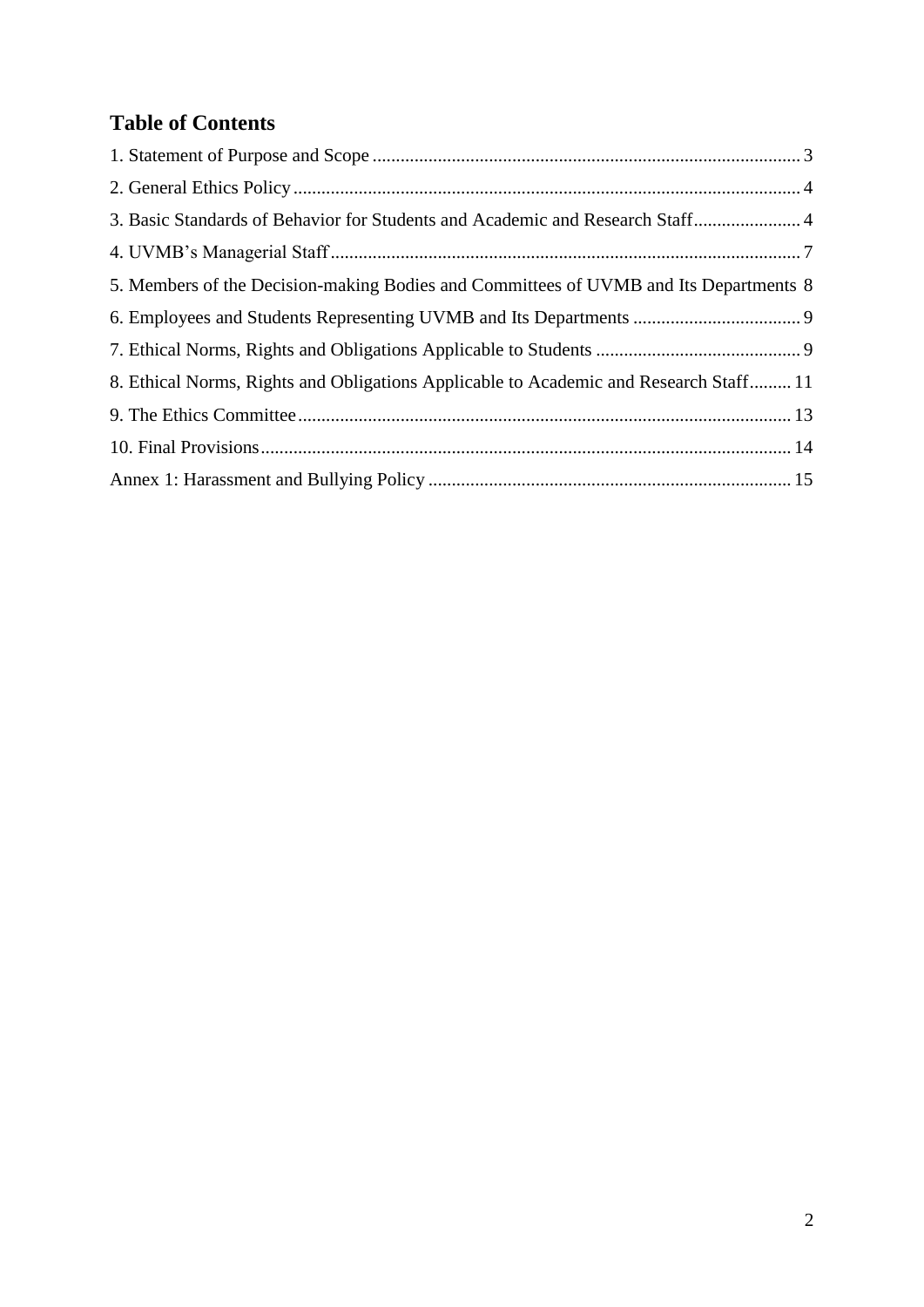# **Table of Contents**

| 3. Basic Standards of Behavior for Students and Academic and Research Staff 4         |  |
|---------------------------------------------------------------------------------------|--|
|                                                                                       |  |
| 5. Members of the Decision-making Bodies and Committees of UVMB and Its Departments 8 |  |
|                                                                                       |  |
|                                                                                       |  |
| 8. Ethical Norms, Rights and Obligations Applicable to Academic and Research Staff 11 |  |
|                                                                                       |  |
|                                                                                       |  |
|                                                                                       |  |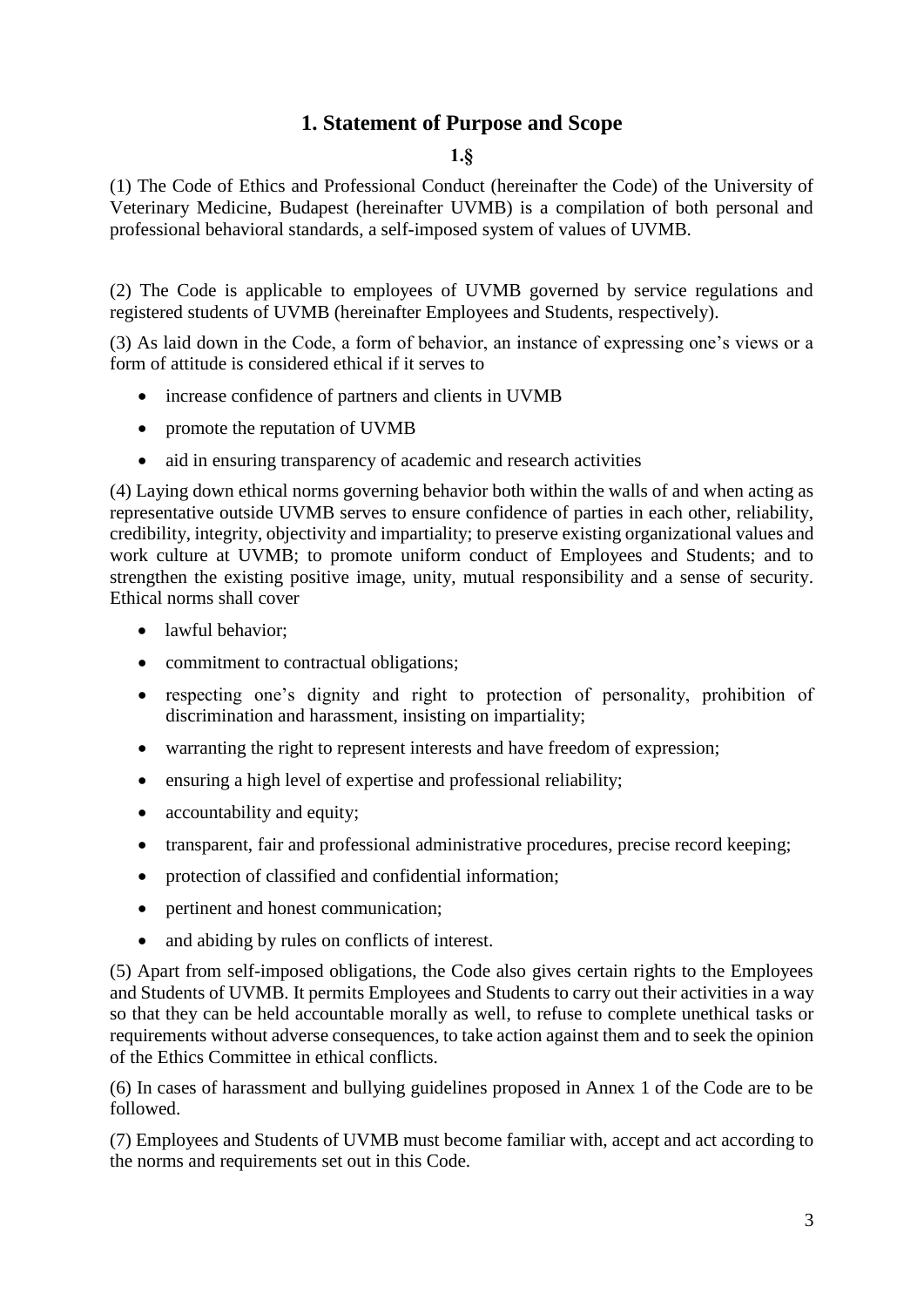## **1. Statement of Purpose and Scope**

#### **1.§**

<span id="page-2-0"></span>(1) The Code of Ethics and Professional Conduct (hereinafter the Code) of the University of Veterinary Medicine, Budapest (hereinafter UVMB) is a compilation of both personal and professional behavioral standards, a self-imposed system of values of UVMB.

(2) The Code is applicable to employees of UVMB governed by service regulations and registered students of UVMB (hereinafter Employees and Students, respectively).

(3) As laid down in the Code, a form of behavior, an instance of expressing one's views or a form of attitude is considered ethical if it serves to

- increase confidence of partners and clients in UVMB
- promote the reputation of UVMB
- aid in ensuring transparency of academic and research activities

(4) Laying down ethical norms governing behavior both within the walls of and when acting as representative outside UVMB serves to ensure confidence of parties in each other, reliability, credibility, integrity, objectivity and impartiality; to preserve existing organizational values and work culture at UVMB; to promote uniform conduct of Employees and Students; and to strengthen the existing positive image, unity, mutual responsibility and a sense of security. Ethical norms shall cover

- lawful behavior;
- commitment to contractual obligations;
- respecting one's dignity and right to protection of personality, prohibition of discrimination and harassment, insisting on impartiality;
- warranting the right to represent interests and have freedom of expression;
- ensuring a high level of expertise and professional reliability;
- accountability and equity;
- transparent, fair and professional administrative procedures, precise record keeping;
- protection of classified and confidential information;
- pertinent and honest communication;
- and abiding by rules on conflicts of interest.

(5) Apart from self-imposed obligations, the Code also gives certain rights to the Employees and Students of UVMB. It permits Employees and Students to carry out their activities in a way so that they can be held accountable morally as well, to refuse to complete unethical tasks or requirements without adverse consequences, to take action against them and to seek the opinion of the Ethics Committee in ethical conflicts.

(6) In cases of harassment and bullying guidelines proposed in Annex 1 of the Code are to be followed.

(7) Employees and Students of UVMB must become familiar with, accept and act according to the norms and requirements set out in this Code.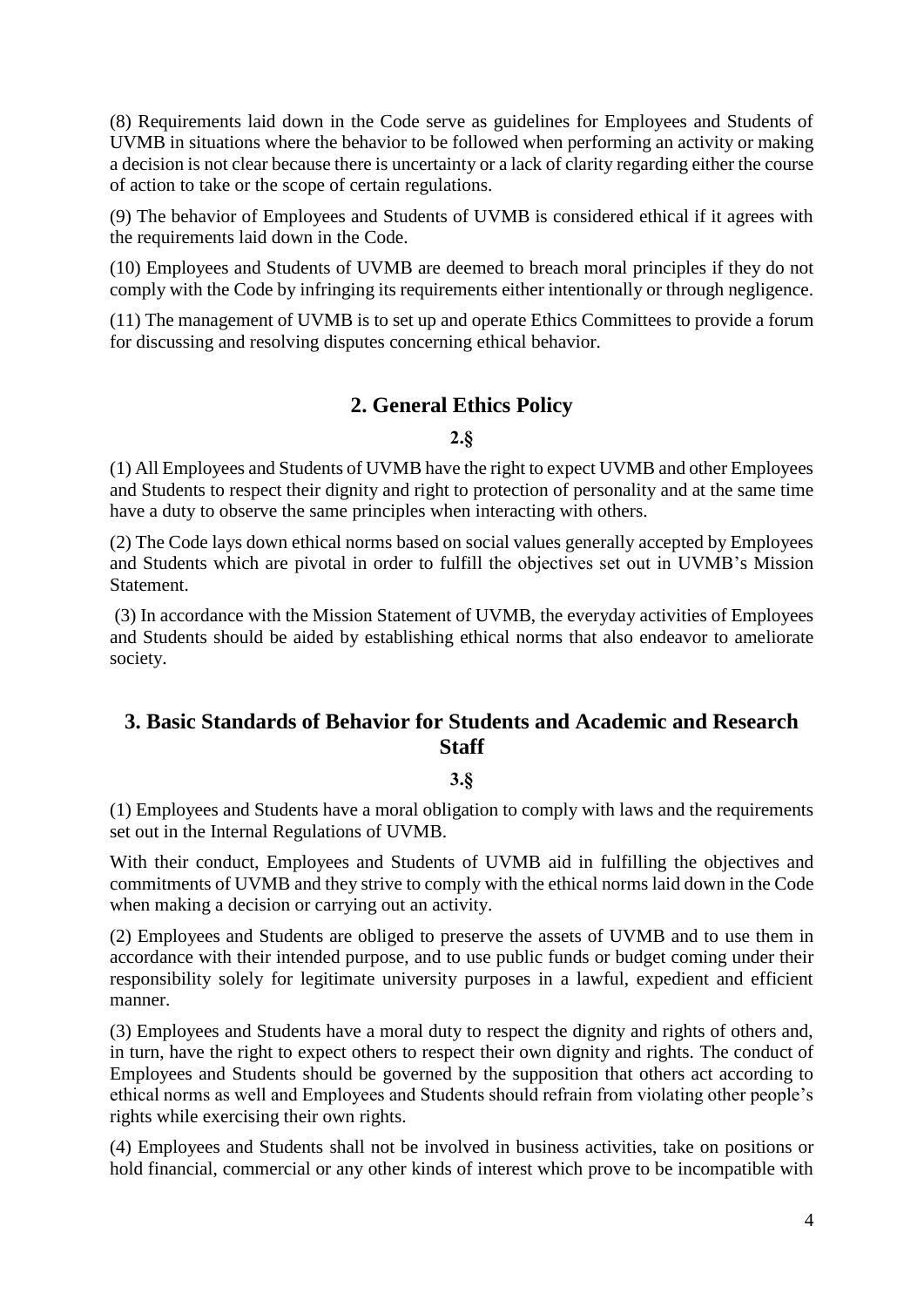(8) Requirements laid down in the Code serve as guidelines for Employees and Students of UVMB in situations where the behavior to be followed when performing an activity or making a decision is not clear because there is uncertainty or a lack of clarity regarding either the course of action to take or the scope of certain regulations.

(9) The behavior of Employees and Students of UVMB is considered ethical if it agrees with the requirements laid down in the Code.

(10) Employees and Students of UVMB are deemed to breach moral principles if they do not comply with the Code by infringing its requirements either intentionally or through negligence.

(11) The management of UVMB is to set up and operate Ethics Committees to provide a forum for discussing and resolving disputes concerning ethical behavior.

## **2. General Ethics Policy**

#### **2.§**

<span id="page-3-0"></span>(1) All Employees and Students of UVMB have the right to expect UVMB and other Employees and Students to respect their dignity and right to protection of personality and at the same time have a duty to observe the same principles when interacting with others.

(2) The Code lays down ethical norms based on social values generally accepted by Employees and Students which are pivotal in order to fulfill the objectives set out in UVMB's Mission Statement.

(3) In accordance with the Mission Statement of UVMB, the everyday activities of Employees and Students should be aided by establishing ethical norms that also endeavor to ameliorate society.

## <span id="page-3-1"></span>**3. Basic Standards of Behavior for Students and Academic and Research Staff**

#### **3.§**

(1) Employees and Students have a moral obligation to comply with laws and the requirements set out in the Internal Regulations of UVMB.

With their conduct, Employees and Students of UVMB aid in fulfilling the objectives and commitments of UVMB and they strive to comply with the ethical norms laid down in the Code when making a decision or carrying out an activity.

(2) Employees and Students are obliged to preserve the assets of UVMB and to use them in accordance with their intended purpose, and to use public funds or budget coming under their responsibility solely for legitimate university purposes in a lawful, expedient and efficient manner.

(3) Employees and Students have a moral duty to respect the dignity and rights of others and, in turn, have the right to expect others to respect their own dignity and rights. The conduct of Employees and Students should be governed by the supposition that others act according to ethical norms as well and Employees and Students should refrain from violating other people's rights while exercising their own rights.

(4) Employees and Students shall not be involved in business activities, take on positions or hold financial, commercial or any other kinds of interest which prove to be incompatible with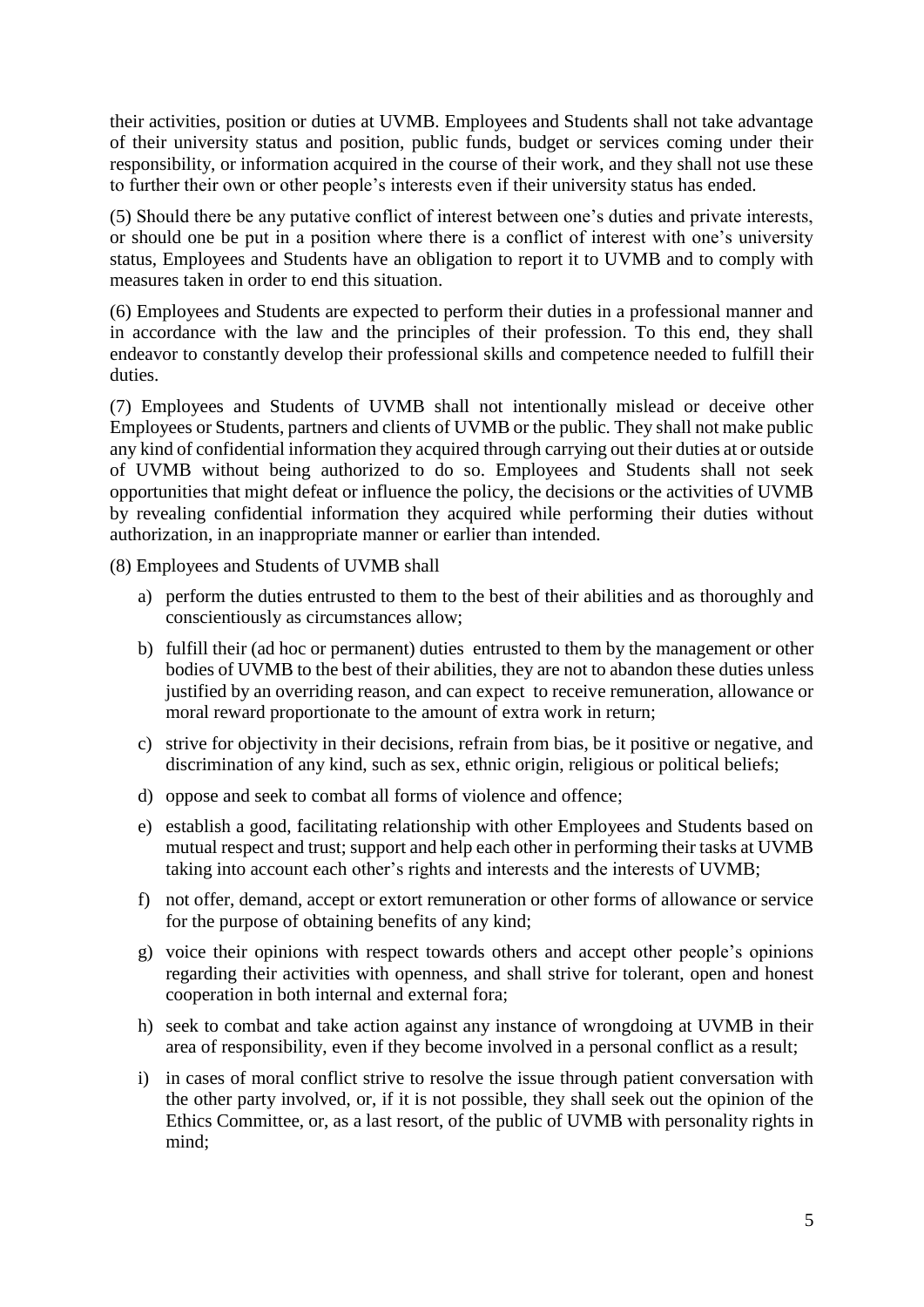their activities, position or duties at UVMB. Employees and Students shall not take advantage of their university status and position, public funds, budget or services coming under their responsibility, or information acquired in the course of their work, and they shall not use these to further their own or other people's interests even if their university status has ended.

(5) Should there be any putative conflict of interest between one's duties and private interests, or should one be put in a position where there is a conflict of interest with one's university status, Employees and Students have an obligation to report it to UVMB and to comply with measures taken in order to end this situation.

(6) Employees and Students are expected to perform their duties in a professional manner and in accordance with the law and the principles of their profession. To this end, they shall endeavor to constantly develop their professional skills and competence needed to fulfill their duties.

(7) Employees and Students of UVMB shall not intentionally mislead or deceive other Employees or Students, partners and clients of UVMB or the public. They shall not make public any kind of confidential information they acquired through carrying out their duties at or outside of UVMB without being authorized to do so. Employees and Students shall not seek opportunities that might defeat or influence the policy, the decisions or the activities of UVMB by revealing confidential information they acquired while performing their duties without authorization, in an inappropriate manner or earlier than intended.

(8) Employees and Students of UVMB shall

- a) perform the duties entrusted to them to the best of their abilities and as thoroughly and conscientiously as circumstances allow;
- b) fulfill their (ad hoc or permanent) duties entrusted to them by the management or other bodies of UVMB to the best of their abilities, they are not to abandon these duties unless justified by an overriding reason, and can expect to receive remuneration, allowance or moral reward proportionate to the amount of extra work in return;
- c) strive for objectivity in their decisions, refrain from bias, be it positive or negative, and discrimination of any kind, such as sex, ethnic origin, religious or political beliefs;
- d) oppose and seek to combat all forms of violence and offence;
- e) establish a good, facilitating relationship with other Employees and Students based on mutual respect and trust; support and help each other in performing their tasks at UVMB taking into account each other's rights and interests and the interests of UVMB;
- f) not offer, demand, accept or extort remuneration or other forms of allowance or service for the purpose of obtaining benefits of any kind;
- g) voice their opinions with respect towards others and accept other people's opinions regarding their activities with openness, and shall strive for tolerant, open and honest cooperation in both internal and external fora;
- h) seek to combat and take action against any instance of wrongdoing at UVMB in their area of responsibility, even if they become involved in a personal conflict as a result;
- i) in cases of moral conflict strive to resolve the issue through patient conversation with the other party involved, or, if it is not possible, they shall seek out the opinion of the Ethics Committee, or, as a last resort, of the public of UVMB with personality rights in mind;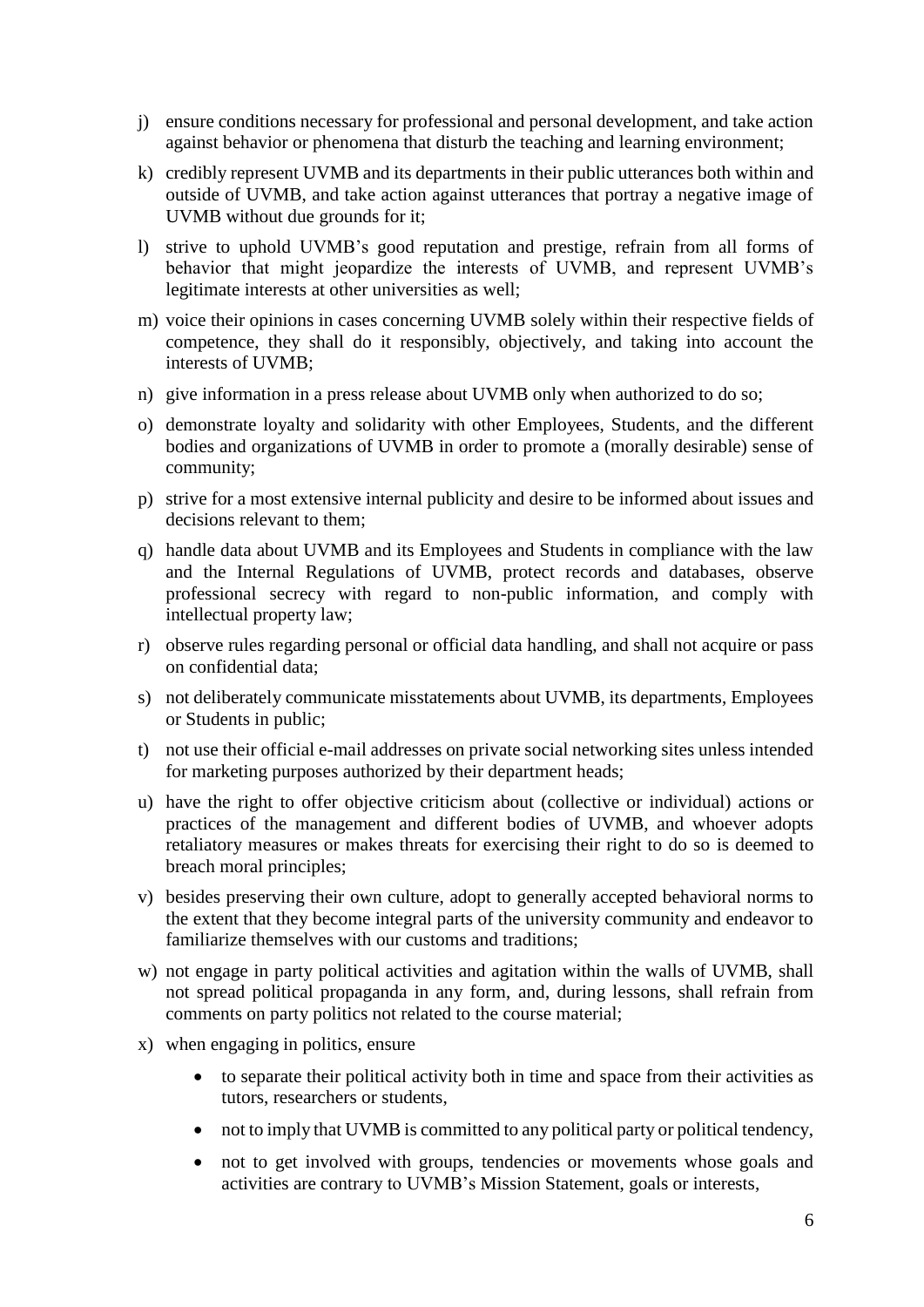- j) ensure conditions necessary for professional and personal development, and take action against behavior or phenomena that disturb the teaching and learning environment;
- k) credibly represent UVMB and its departments in their public utterances both within and outside of UVMB, and take action against utterances that portray a negative image of UVMB without due grounds for it;
- l) strive to uphold UVMB's good reputation and prestige, refrain from all forms of behavior that might jeopardize the interests of UVMB, and represent UVMB's legitimate interests at other universities as well;
- m) voice their opinions in cases concerning UVMB solely within their respective fields of competence, they shall do it responsibly, objectively, and taking into account the interests of UVMB;
- n) give information in a press release about UVMB only when authorized to do so;
- o) demonstrate loyalty and solidarity with other Employees, Students, and the different bodies and organizations of UVMB in order to promote a (morally desirable) sense of community;
- p) strive for a most extensive internal publicity and desire to be informed about issues and decisions relevant to them;
- q) handle data about UVMB and its Employees and Students in compliance with the law and the Internal Regulations of UVMB, protect records and databases, observe professional secrecy with regard to non-public information, and comply with intellectual property law;
- r) observe rules regarding personal or official data handling, and shall not acquire or pass on confidential data;
- s) not deliberately communicate misstatements about UVMB, its departments, Employees or Students in public;
- t) not use their official e-mail addresses on private social networking sites unless intended for marketing purposes authorized by their department heads;
- u) have the right to offer objective criticism about (collective or individual) actions or practices of the management and different bodies of UVMB, and whoever adopts retaliatory measures or makes threats for exercising their right to do so is deemed to breach moral principles;
- v) besides preserving their own culture, adopt to generally accepted behavioral norms to the extent that they become integral parts of the university community and endeavor to familiarize themselves with our customs and traditions;
- w) not engage in party political activities and agitation within the walls of UVMB, shall not spread political propaganda in any form, and, during lessons, shall refrain from comments on party politics not related to the course material;
- x) when engaging in politics, ensure
	- to separate their political activity both in time and space from their activities as tutors, researchers or students,
	- not to imply that UVMB is committed to any political party or political tendency,
	- not to get involved with groups, tendencies or movements whose goals and activities are contrary to UVMB's Mission Statement, goals or interests,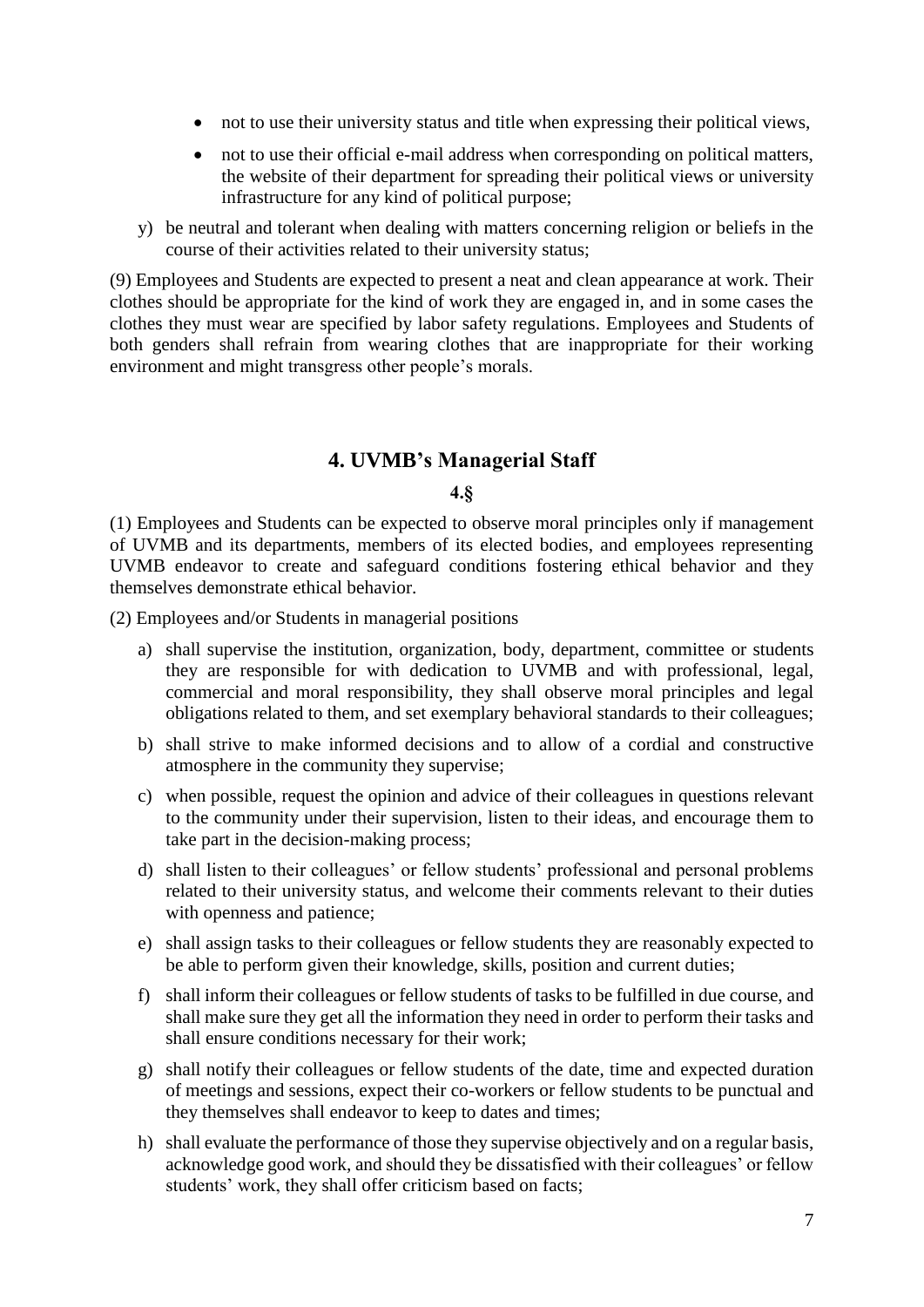- not to use their university status and title when expressing their political views,
- not to use their official e-mail address when corresponding on political matters, the website of their department for spreading their political views or university infrastructure for any kind of political purpose;
- y) be neutral and tolerant when dealing with matters concerning religion or beliefs in the course of their activities related to their university status;

(9) Employees and Students are expected to present a neat and clean appearance at work. Their clothes should be appropriate for the kind of work they are engaged in, and in some cases the clothes they must wear are specified by labor safety regulations. Employees and Students of both genders shall refrain from wearing clothes that are inappropriate for their working environment and might transgress other people's morals.

## **4. UVMB's Managerial Staff**

#### **4.§**

<span id="page-6-0"></span>(1) Employees and Students can be expected to observe moral principles only if management of UVMB and its departments, members of its elected bodies, and employees representing UVMB endeavor to create and safeguard conditions fostering ethical behavior and they themselves demonstrate ethical behavior.

(2) Employees and/or Students in managerial positions

- a) shall supervise the institution, organization, body, department, committee or students they are responsible for with dedication to UVMB and with professional, legal, commercial and moral responsibility, they shall observe moral principles and legal obligations related to them, and set exemplary behavioral standards to their colleagues;
- b) shall strive to make informed decisions and to allow of a cordial and constructive atmosphere in the community they supervise;
- c) when possible, request the opinion and advice of their colleagues in questions relevant to the community under their supervision, listen to their ideas, and encourage them to take part in the decision-making process;
- d) shall listen to their colleagues' or fellow students' professional and personal problems related to their university status, and welcome their comments relevant to their duties with openness and patience;
- e) shall assign tasks to their colleagues or fellow students they are reasonably expected to be able to perform given their knowledge, skills, position and current duties;
- f) shall inform their colleagues or fellow students of tasks to be fulfilled in due course, and shall make sure they get all the information they need in order to perform their tasks and shall ensure conditions necessary for their work;
- g) shall notify their colleagues or fellow students of the date, time and expected duration of meetings and sessions, expect their co-workers or fellow students to be punctual and they themselves shall endeavor to keep to dates and times;
- h) shall evaluate the performance of those they supervise objectively and on a regular basis, acknowledge good work, and should they be dissatisfied with their colleagues' or fellow students' work, they shall offer criticism based on facts;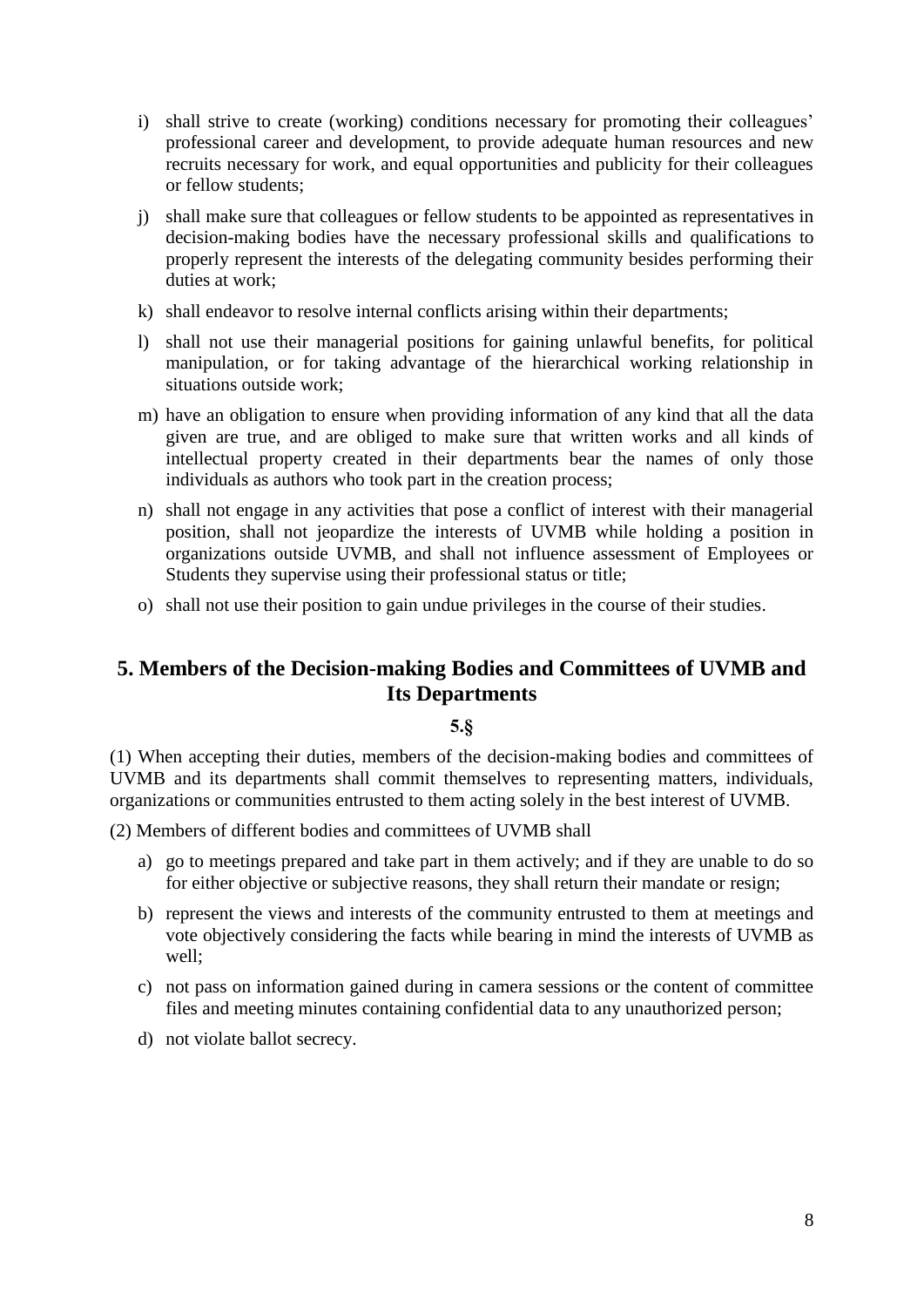- i) shall strive to create (working) conditions necessary for promoting their colleagues' professional career and development, to provide adequate human resources and new recruits necessary for work, and equal opportunities and publicity for their colleagues or fellow students;
- j) shall make sure that colleagues or fellow students to be appointed as representatives in decision-making bodies have the necessary professional skills and qualifications to properly represent the interests of the delegating community besides performing their duties at work;
- k) shall endeavor to resolve internal conflicts arising within their departments;
- l) shall not use their managerial positions for gaining unlawful benefits, for political manipulation, or for taking advantage of the hierarchical working relationship in situations outside work;
- m) have an obligation to ensure when providing information of any kind that all the data given are true, and are obliged to make sure that written works and all kinds of intellectual property created in their departments bear the names of only those individuals as authors who took part in the creation process;
- n) shall not engage in any activities that pose a conflict of interest with their managerial position, shall not jeopardize the interests of UVMB while holding a position in organizations outside UVMB, and shall not influence assessment of Employees or Students they supervise using their professional status or title;
- o) shall not use their position to gain undue privileges in the course of their studies.

## <span id="page-7-0"></span>**5. Members of the Decision-making Bodies and Committees of UVMB and Its Departments**

## **5.§**

(1) When accepting their duties, members of the decision-making bodies and committees of UVMB and its departments shall commit themselves to representing matters, individuals, organizations or communities entrusted to them acting solely in the best interest of UVMB.

(2) Members of different bodies and committees of UVMB shall

- a) go to meetings prepared and take part in them actively; and if they are unable to do so for either objective or subjective reasons, they shall return their mandate or resign;
- b) represent the views and interests of the community entrusted to them at meetings and vote objectively considering the facts while bearing in mind the interests of UVMB as well;
- c) not pass on information gained during in camera sessions or the content of committee files and meeting minutes containing confidential data to any unauthorized person;
- <span id="page-7-1"></span>d) not violate ballot secrecy.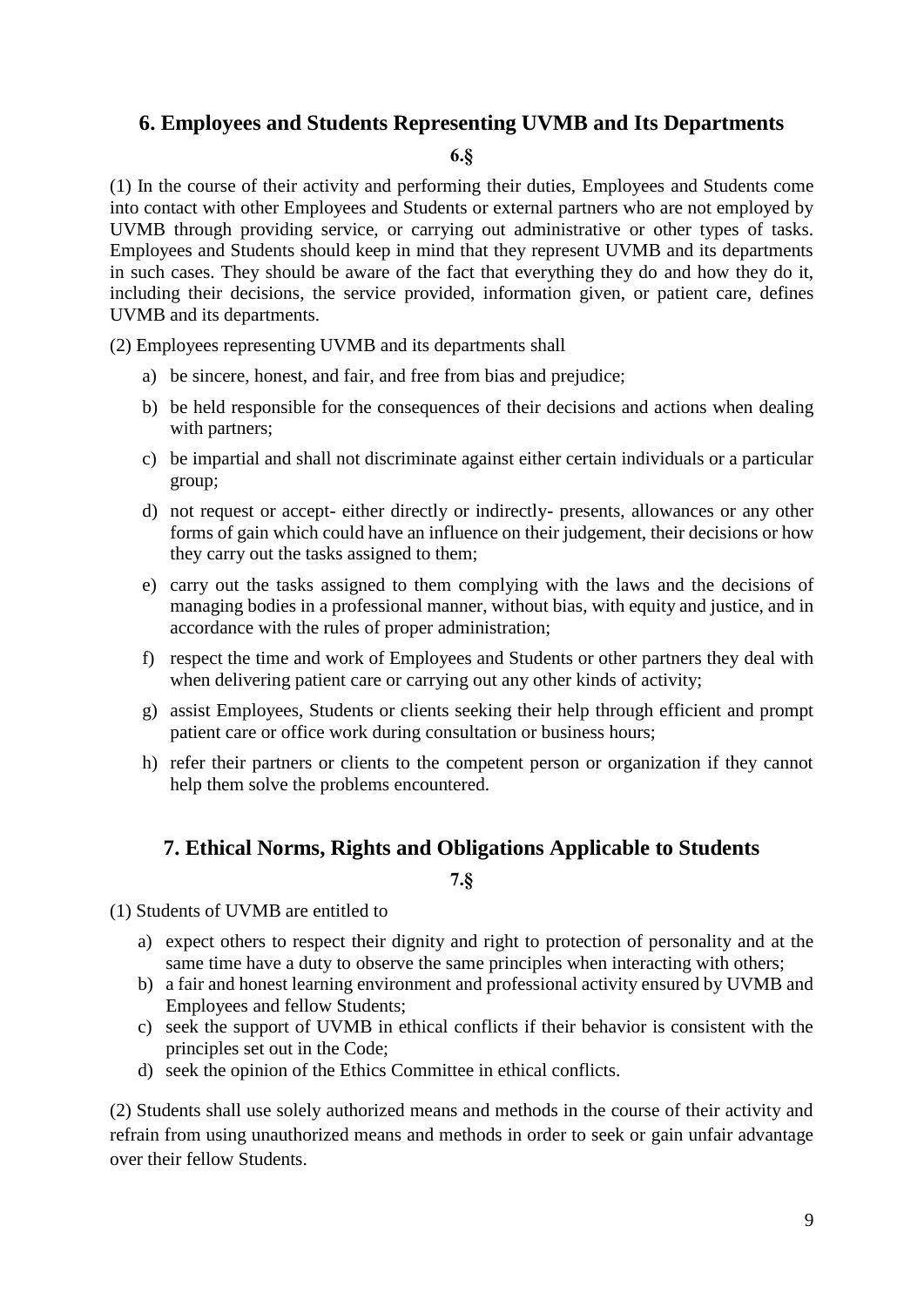## **6. Employees and Students Representing UVMB and Its Departments**

#### **6.§**

(1) In the course of their activity and performing their duties, Employees and Students come into contact with other Employees and Students or external partners who are not employed by UVMB through providing service, or carrying out administrative or other types of tasks. Employees and Students should keep in mind that they represent UVMB and its departments in such cases. They should be aware of the fact that everything they do and how they do it, including their decisions, the service provided, information given, or patient care, defines UVMB and its departments.

(2) Employees representing UVMB and its departments shall

- a) be sincere, honest, and fair, and free from bias and prejudice;
- b) be held responsible for the consequences of their decisions and actions when dealing with partners;
- c) be impartial and shall not discriminate against either certain individuals or a particular group;
- d) not request or accept- either directly or indirectly- presents, allowances or any other forms of gain which could have an influence on their judgement, their decisions or how they carry out the tasks assigned to them;
- e) carry out the tasks assigned to them complying with the laws and the decisions of managing bodies in a professional manner, without bias, with equity and justice, and in accordance with the rules of proper administration;
- f) respect the time and work of Employees and Students or other partners they deal with when delivering patient care or carrying out any other kinds of activity;
- g) assist Employees, Students or clients seeking their help through efficient and prompt patient care or office work during consultation or business hours;
- h) refer their partners or clients to the competent person or organization if they cannot help them solve the problems encountered.

## <span id="page-8-0"></span>**7. Ethical Norms, Rights and Obligations Applicable to Students**

**7.§**

(1) Students of UVMB are entitled to

- a) expect others to respect their dignity and right to protection of personality and at the same time have a duty to observe the same principles when interacting with others;
- b) a fair and honest learning environment and professional activity ensured by UVMB and Employees and fellow Students;
- c) seek the support of UVMB in ethical conflicts if their behavior is consistent with the principles set out in the Code;
- d) seek the opinion of the Ethics Committee in ethical conflicts.

(2) Students shall use solely authorized means and methods in the course of their activity and refrain from using unauthorized means and methods in order to seek or gain unfair advantage over their fellow Students.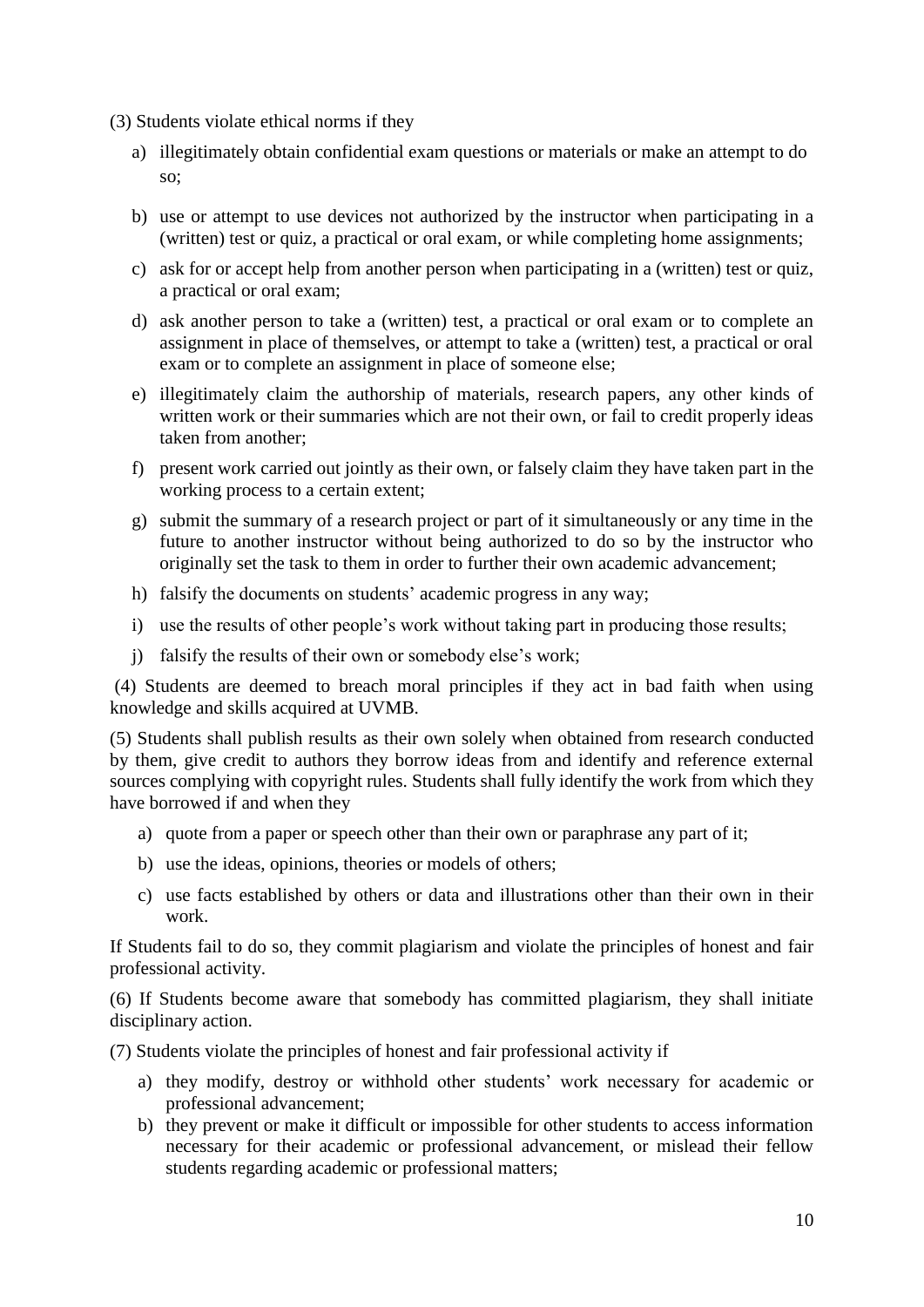(3) Students violate ethical norms if they

- a) illegitimately obtain confidential exam questions or materials or make an attempt to do so;
- b) use or attempt to use devices not authorized by the instructor when participating in a (written) test or quiz, a practical or oral exam, or while completing home assignments;
- c) ask for or accept help from another person when participating in a (written) test or quiz, a practical or oral exam;
- d) ask another person to take a (written) test, a practical or oral exam or to complete an assignment in place of themselves, or attempt to take a (written) test, a practical or oral exam or to complete an assignment in place of someone else;
- e) illegitimately claim the authorship of materials, research papers, any other kinds of written work or their summaries which are not their own, or fail to credit properly ideas taken from another;
- f) present work carried out jointly as their own, or falsely claim they have taken part in the working process to a certain extent;
- g) submit the summary of a research project or part of it simultaneously or any time in the future to another instructor without being authorized to do so by the instructor who originally set the task to them in order to further their own academic advancement;
- h) falsify the documents on students' academic progress in any way;
- i) use the results of other people's work without taking part in producing those results;
- j) falsify the results of their own or somebody else's work;

(4) Students are deemed to breach moral principles if they act in bad faith when using knowledge and skills acquired at UVMB.

(5) Students shall publish results as their own solely when obtained from research conducted by them, give credit to authors they borrow ideas from and identify and reference external sources complying with copyright rules. Students shall fully identify the work from which they have borrowed if and when they

- a) quote from a paper or speech other than their own or paraphrase any part of it;
- b) use the ideas, opinions, theories or models of others;
- c) use facts established by others or data and illustrations other than their own in their work.

If Students fail to do so, they commit plagiarism and violate the principles of honest and fair professional activity.

(6) If Students become aware that somebody has committed plagiarism, they shall initiate disciplinary action.

(7) Students violate the principles of honest and fair professional activity if

- a) they modify, destroy or withhold other students' work necessary for academic or professional advancement;
- b) they prevent or make it difficult or impossible for other students to access information necessary for their academic or professional advancement, or mislead their fellow students regarding academic or professional matters;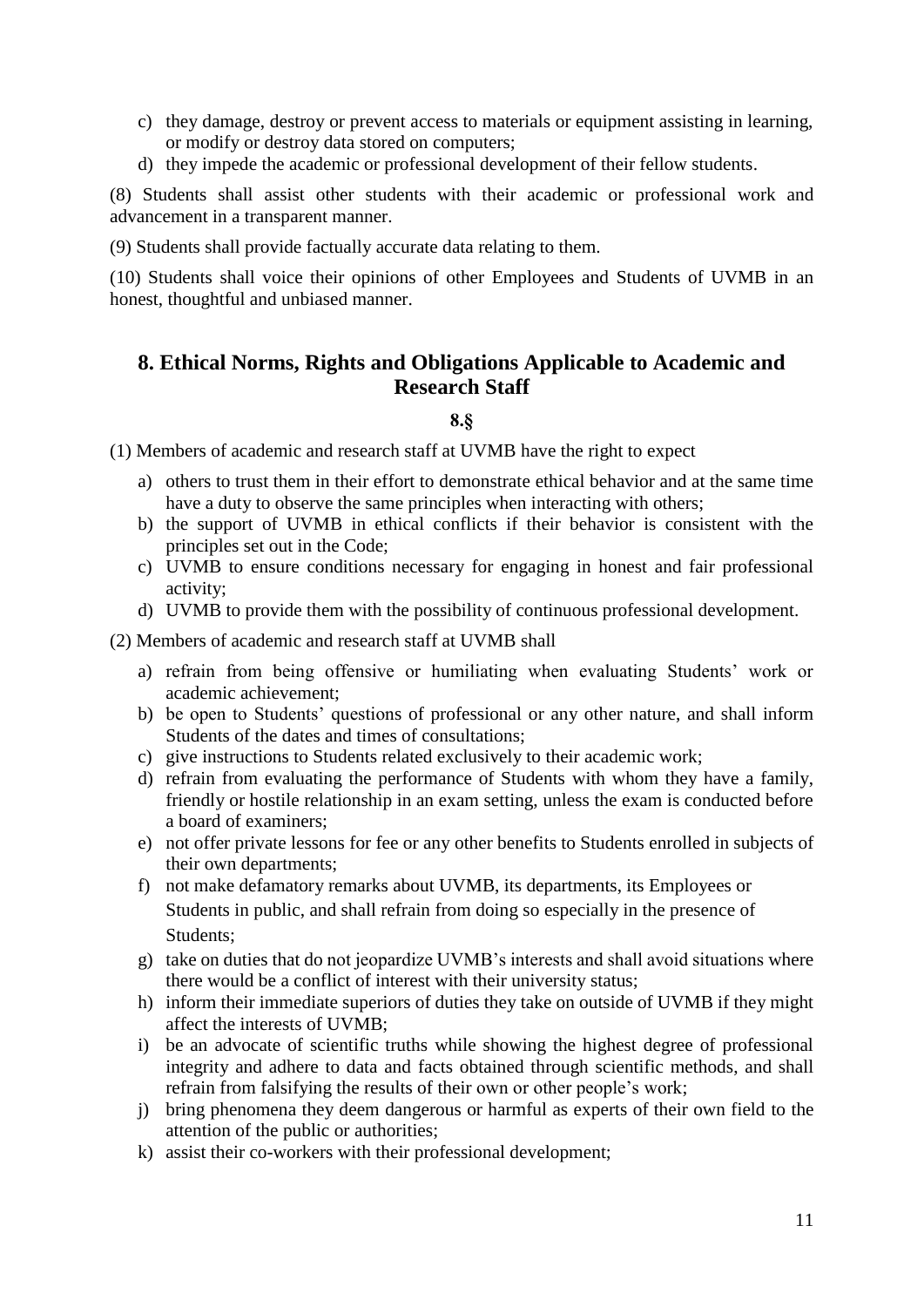- c) they damage, destroy or prevent access to materials or equipment assisting in learning, or modify or destroy data stored on computers;
- d) they impede the academic or professional development of their fellow students.

(8) Students shall assist other students with their academic or professional work and advancement in a transparent manner.

(9) Students shall provide factually accurate data relating to them.

(10) Students shall voice their opinions of other Employees and Students of UVMB in an honest, thoughtful and unbiased manner.

## <span id="page-10-0"></span>**8. Ethical Norms, Rights and Obligations Applicable to Academic and Research Staff**

#### **8.§**

(1) Members of academic and research staff at UVMB have the right to expect

- a) others to trust them in their effort to demonstrate ethical behavior and at the same time have a duty to observe the same principles when interacting with others;
- b) the support of UVMB in ethical conflicts if their behavior is consistent with the principles set out in the Code;
- c) UVMB to ensure conditions necessary for engaging in honest and fair professional activity;
- d) UVMB to provide them with the possibility of continuous professional development.

(2) Members of academic and research staff at UVMB shall

- a) refrain from being offensive or humiliating when evaluating Students' work or academic achievement;
- b) be open to Students' questions of professional or any other nature, and shall inform Students of the dates and times of consultations;
- c) give instructions to Students related exclusively to their academic work;
- d) refrain from evaluating the performance of Students with whom they have a family, friendly or hostile relationship in an exam setting, unless the exam is conducted before a board of examiners;
- e) not offer private lessons for fee or any other benefits to Students enrolled in subjects of their own departments;
- f) not make defamatory remarks about UVMB, its departments, its Employees or Students in public, and shall refrain from doing so especially in the presence of Students;
- g) take on duties that do not jeopardize UVMB's interests and shall avoid situations where there would be a conflict of interest with their university status;
- h) inform their immediate superiors of duties they take on outside of UVMB if they might affect the interests of UVMB;
- i) be an advocate of scientific truths while showing the highest degree of professional integrity and adhere to data and facts obtained through scientific methods, and shall refrain from falsifying the results of their own or other people's work;
- j) bring phenomena they deem dangerous or harmful as experts of their own field to the attention of the public or authorities;
- k) assist their co-workers with their professional development;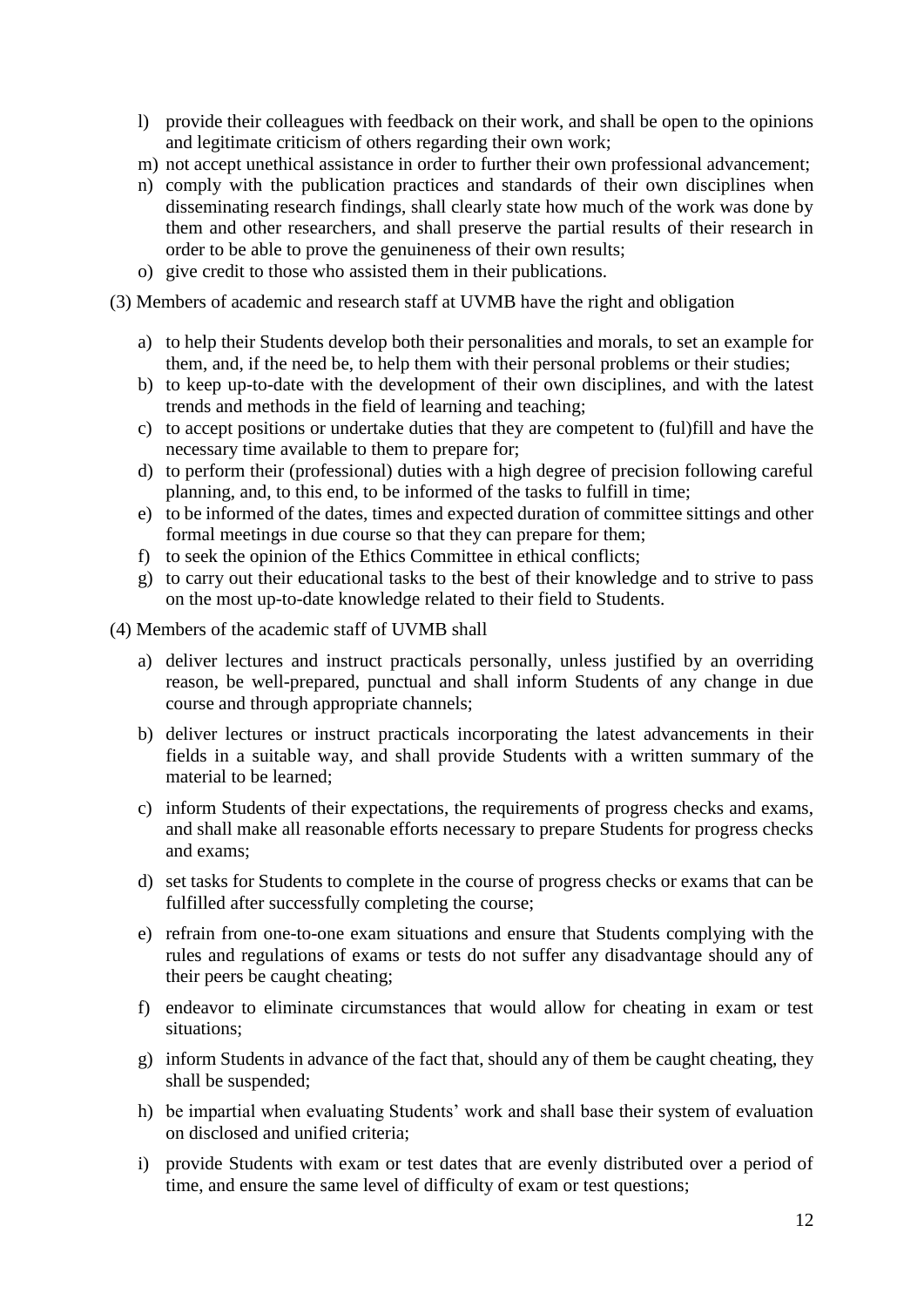- l) provide their colleagues with feedback on their work, and shall be open to the opinions and legitimate criticism of others regarding their own work;
- m) not accept unethical assistance in order to further their own professional advancement;
- n) comply with the publication practices and standards of their own disciplines when disseminating research findings, shall clearly state how much of the work was done by them and other researchers, and shall preserve the partial results of their research in order to be able to prove the genuineness of their own results;
- o) give credit to those who assisted them in their publications.
- (3) Members of academic and research staff at UVMB have the right and obligation
	- a) to help their Students develop both their personalities and morals, to set an example for them, and, if the need be, to help them with their personal problems or their studies;
	- b) to keep up-to-date with the development of their own disciplines, and with the latest trends and methods in the field of learning and teaching;
	- c) to accept positions or undertake duties that they are competent to (ful)fill and have the necessary time available to them to prepare for;
	- d) to perform their (professional) duties with a high degree of precision following careful planning, and, to this end, to be informed of the tasks to fulfill in time;
	- e) to be informed of the dates, times and expected duration of committee sittings and other formal meetings in due course so that they can prepare for them;
	- f) to seek the opinion of the Ethics Committee in ethical conflicts;
	- g) to carry out their educational tasks to the best of their knowledge and to strive to pass on the most up-to-date knowledge related to their field to Students.
- (4) Members of the academic staff of UVMB shall
	- a) deliver lectures and instruct practicals personally, unless justified by an overriding reason, be well-prepared, punctual and shall inform Students of any change in due course and through appropriate channels;
	- b) deliver lectures or instruct practicals incorporating the latest advancements in their fields in a suitable way, and shall provide Students with a written summary of the material to be learned;
	- c) inform Students of their expectations, the requirements of progress checks and exams, and shall make all reasonable efforts necessary to prepare Students for progress checks and exams;
	- d) set tasks for Students to complete in the course of progress checks or exams that can be fulfilled after successfully completing the course;
	- e) refrain from one-to-one exam situations and ensure that Students complying with the rules and regulations of exams or tests do not suffer any disadvantage should any of their peers be caught cheating;
	- f) endeavor to eliminate circumstances that would allow for cheating in exam or test situations;
	- g) inform Students in advance of the fact that, should any of them be caught cheating, they shall be suspended;
	- h) be impartial when evaluating Students' work and shall base their system of evaluation on disclosed and unified criteria;
	- i) provide Students with exam or test dates that are evenly distributed over a period of time, and ensure the same level of difficulty of exam or test questions;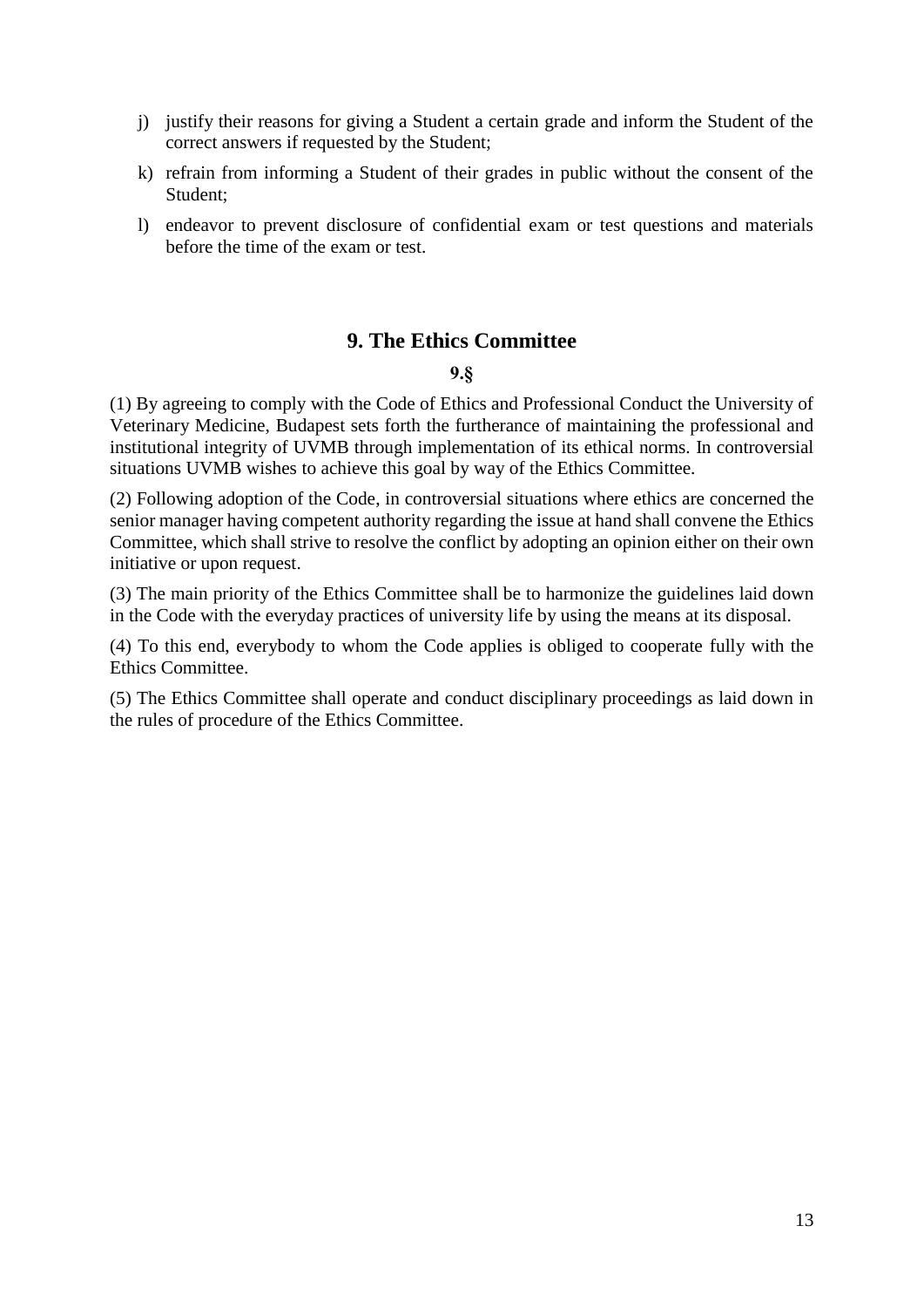- j) justify their reasons for giving a Student a certain grade and inform the Student of the correct answers if requested by the Student;
- k) refrain from informing a Student of their grades in public without the consent of the Student;
- l) endeavor to prevent disclosure of confidential exam or test questions and materials before the time of the exam or test.

## **9. The Ethics Committee**

#### **9.§**

<span id="page-12-0"></span>(1) By agreeing to comply with the Code of Ethics and Professional Conduct the University of Veterinary Medicine, Budapest sets forth the furtherance of maintaining the professional and institutional integrity of UVMB through implementation of its ethical norms. In controversial situations UVMB wishes to achieve this goal by way of the Ethics Committee.

(2) Following adoption of the Code, in controversial situations where ethics are concerned the senior manager having competent authority regarding the issue at hand shall convene the Ethics Committee, which shall strive to resolve the conflict by adopting an opinion either on their own initiative or upon request.

(3) The main priority of the Ethics Committee shall be to harmonize the guidelines laid down in the Code with the everyday practices of university life by using the means at its disposal.

(4) To this end, everybody to whom the Code applies is obliged to cooperate fully with the Ethics Committee.

<span id="page-12-1"></span>(5) The Ethics Committee shall operate and conduct disciplinary proceedings as laid down in the rules of procedure of the Ethics Committee.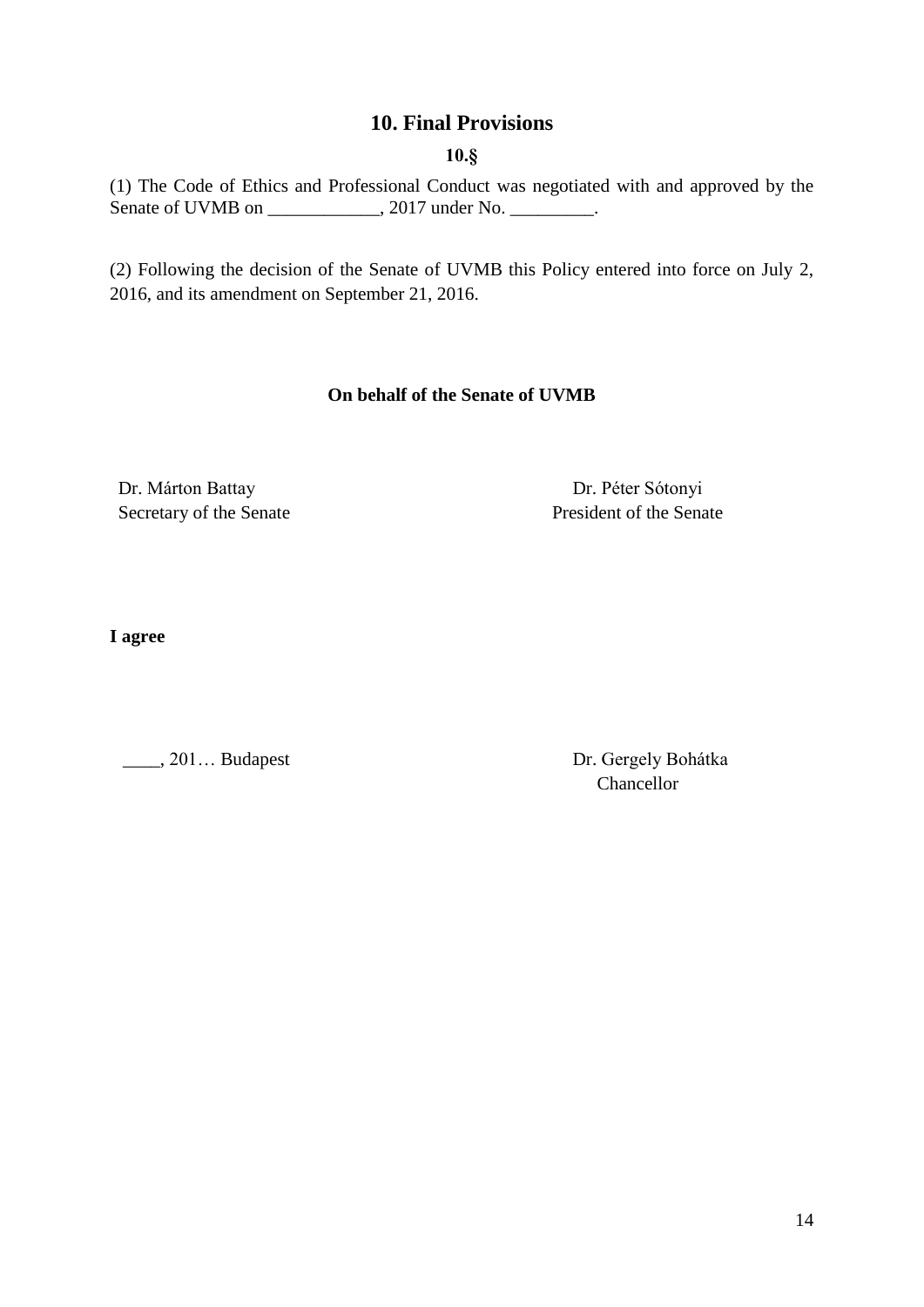## **10. Final Provisions**

**10.§**

(1) The Code of Ethics and Professional Conduct was negotiated with and approved by the Senate of UVMB on \_\_\_\_\_\_\_\_\_\_, 2017 under No. \_\_\_\_\_\_\_.

(2) Following the decision of the Senate of UVMB this Policy entered into force on July 2, 2016, and its amendment on September 21, 2016.

#### **On behalf of the Senate of UVMB**

Dr. Márton Battay Secretary of the Senate

 Dr. Péter Sótonyi President of the Senate

**I agree**

\_\_\_\_, 201… Budapest Dr. Gergely Bohátka

Chancellor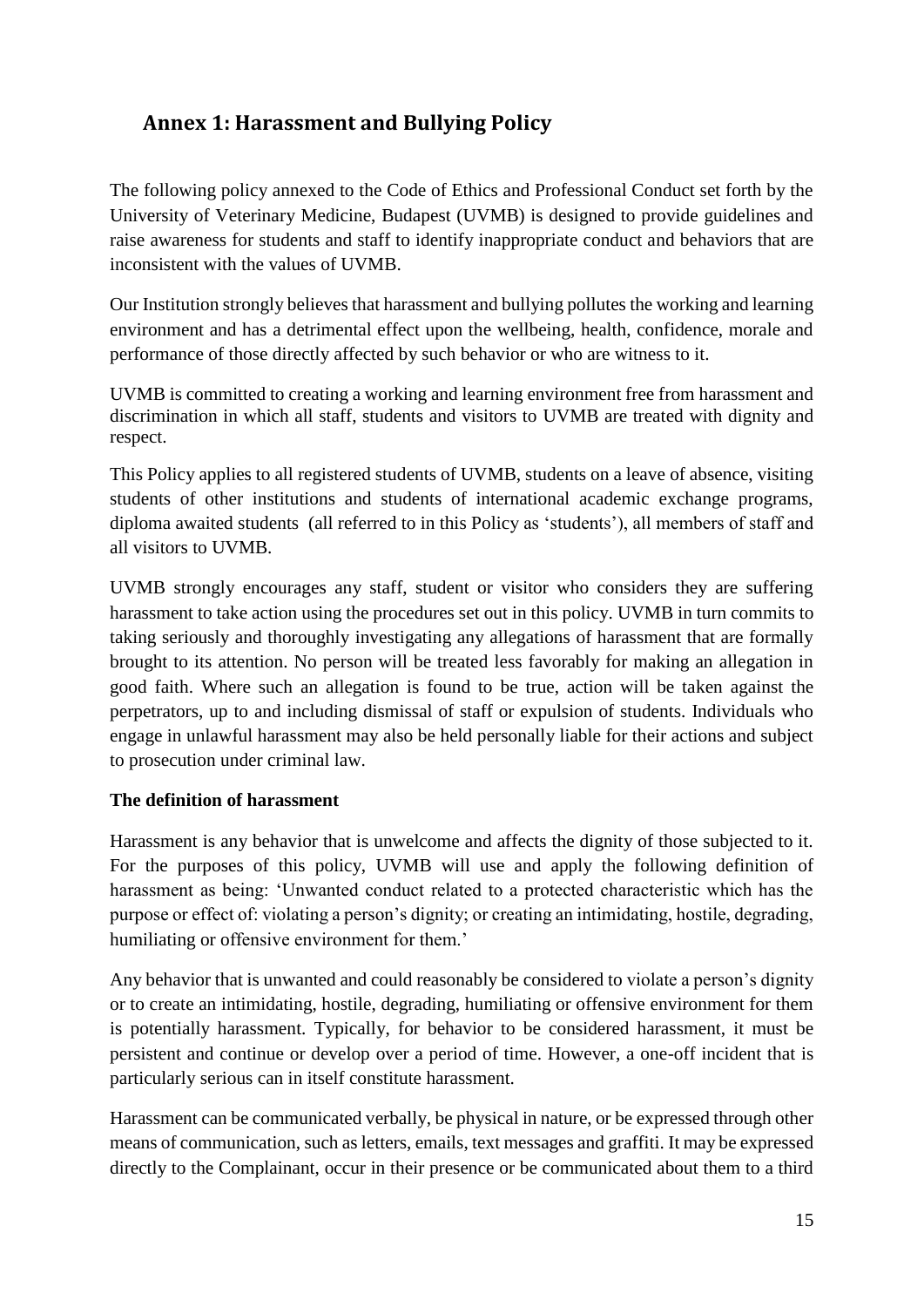# <span id="page-14-0"></span>**Annex 1: Harassment and Bullying Policy**

The following policy annexed to the Code of Ethics and Professional Conduct set forth by the University of Veterinary Medicine, Budapest (UVMB) is designed to provide guidelines and raise awareness for students and staff to identify inappropriate conduct and behaviors that are inconsistent with the values of UVMB.

Our Institution strongly believes that harassment and bullying pollutes the working and learning environment and has a detrimental effect upon the wellbeing, health, confidence, morale and performance of those directly affected by such behavior or who are witness to it.

UVMB is committed to creating a working and learning environment free from harassment and discrimination in which all staff, students and visitors to UVMB are treated with dignity and respect.

This Policy applies to all registered students of UVMB, students on a leave of absence, visiting students of other institutions and students of international academic exchange programs, diploma awaited students (all referred to in this Policy as 'students'), all members of staff and all visitors to UVMB.

UVMB strongly encourages any staff, student or visitor who considers they are suffering harassment to take action using the procedures set out in this policy. UVMB in turn commits to taking seriously and thoroughly investigating any allegations of harassment that are formally brought to its attention. No person will be treated less favorably for making an allegation in good faith. Where such an allegation is found to be true, action will be taken against the perpetrators, up to and including dismissal of staff or expulsion of students. Individuals who engage in unlawful harassment may also be held personally liable for their actions and subject to prosecution under criminal law.

## **The definition of harassment**

Harassment is any behavior that is unwelcome and affects the dignity of those subjected to it. For the purposes of this policy, UVMB will use and apply the following definition of harassment as being: 'Unwanted conduct related to a protected characteristic which has the purpose or effect of: violating a person's dignity; or creating an intimidating, hostile, degrading, humiliating or offensive environment for them.'

Any behavior that is unwanted and could reasonably be considered to violate a person's dignity or to create an intimidating, hostile, degrading, humiliating or offensive environment for them is potentially harassment. Typically, for behavior to be considered harassment, it must be persistent and continue or develop over a period of time. However, a one-off incident that is particularly serious can in itself constitute harassment.

Harassment can be communicated verbally, be physical in nature, or be expressed through other means of communication, such as letters, emails, text messages and graffiti. It may be expressed directly to the Complainant, occur in their presence or be communicated about them to a third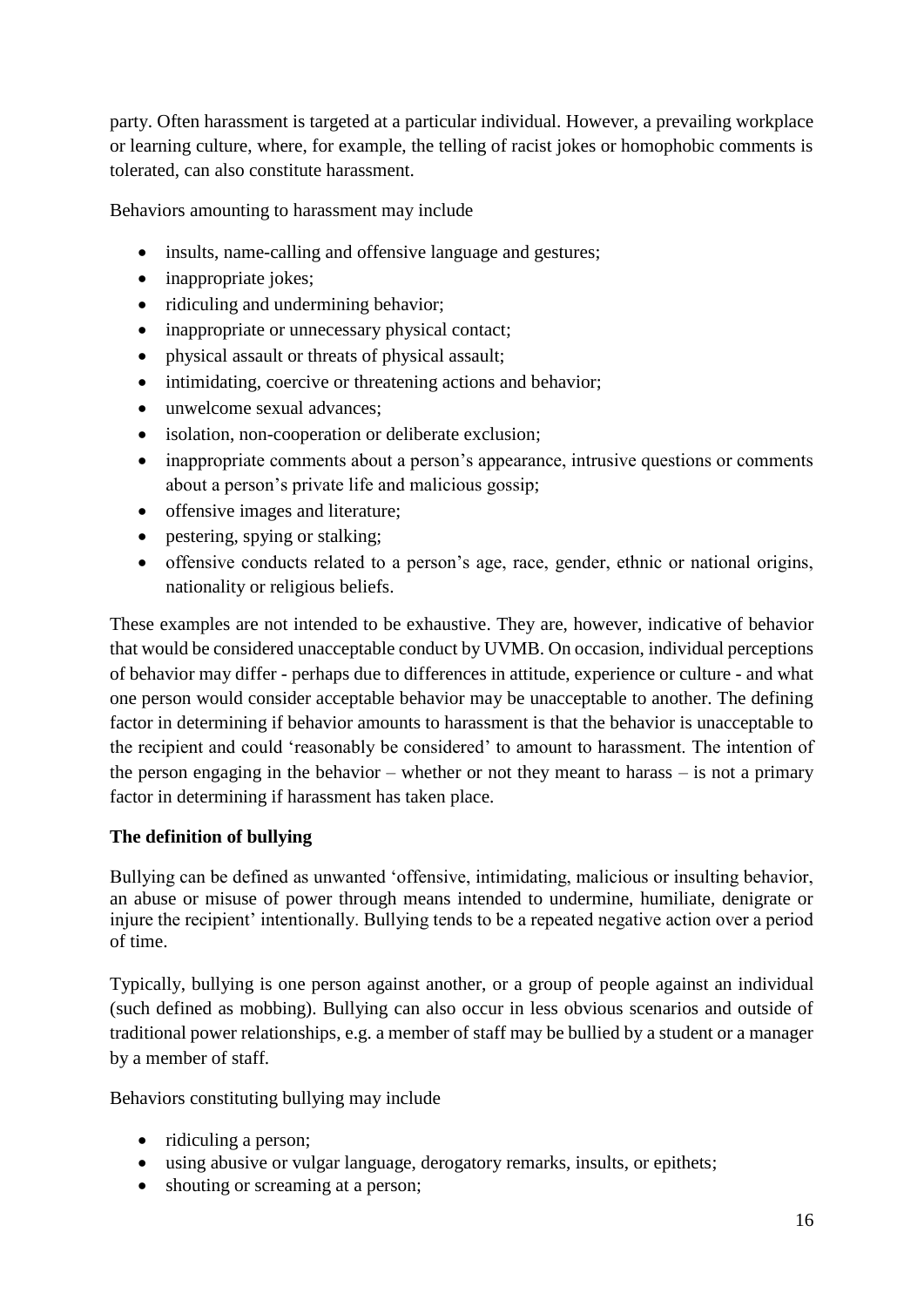party. Often harassment is targeted at a particular individual. However, a prevailing workplace or learning culture, where, for example, the telling of racist jokes or homophobic comments is tolerated, can also constitute harassment.

Behaviors amounting to harassment may include

- insults, name-calling and offensive language and gestures;
- inappropriate jokes;
- ridiculing and undermining behavior;
- inappropriate or unnecessary physical contact;
- physical assault or threats of physical assault;
- intimidating, coercive or threatening actions and behavior;
- unwelcome sexual advances:
- isolation, non-cooperation or deliberate exclusion;
- inappropriate comments about a person's appearance, intrusive questions or comments about a person's private life and malicious gossip;
- offensive images and literature;
- pestering, spying or stalking;
- offensive conducts related to a person's age, race, gender, ethnic or national origins, nationality or religious beliefs.

These examples are not intended to be exhaustive. They are, however, indicative of behavior that would be considered unacceptable conduct by UVMB. On occasion, individual perceptions of behavior may differ - perhaps due to differences in attitude, experience or culture - and what one person would consider acceptable behavior may be unacceptable to another. The defining factor in determining if behavior amounts to harassment is that the behavior is unacceptable to the recipient and could 'reasonably be considered' to amount to harassment. The intention of the person engaging in the behavior – whether or not they meant to harass – is not a primary factor in determining if harassment has taken place.

#### **The definition of bullying**

Bullying can be defined as unwanted 'offensive, intimidating, malicious or insulting behavior, an abuse or misuse of power through means intended to undermine, humiliate, denigrate or injure the recipient' intentionally. Bullying tends to be a repeated negative action over a period of time.

Typically, bullying is one person against another, or a group of people against an individual (such defined as mobbing). Bullying can also occur in less obvious scenarios and outside of traditional power relationships, e.g. a member of staff may be bullied by a student or a manager by a member of staff.

Behaviors constituting bullying may include

- ridiculing a person;
- using abusive or vulgar language, derogatory remarks, insults, or epithets;
- shouting or screaming at a person;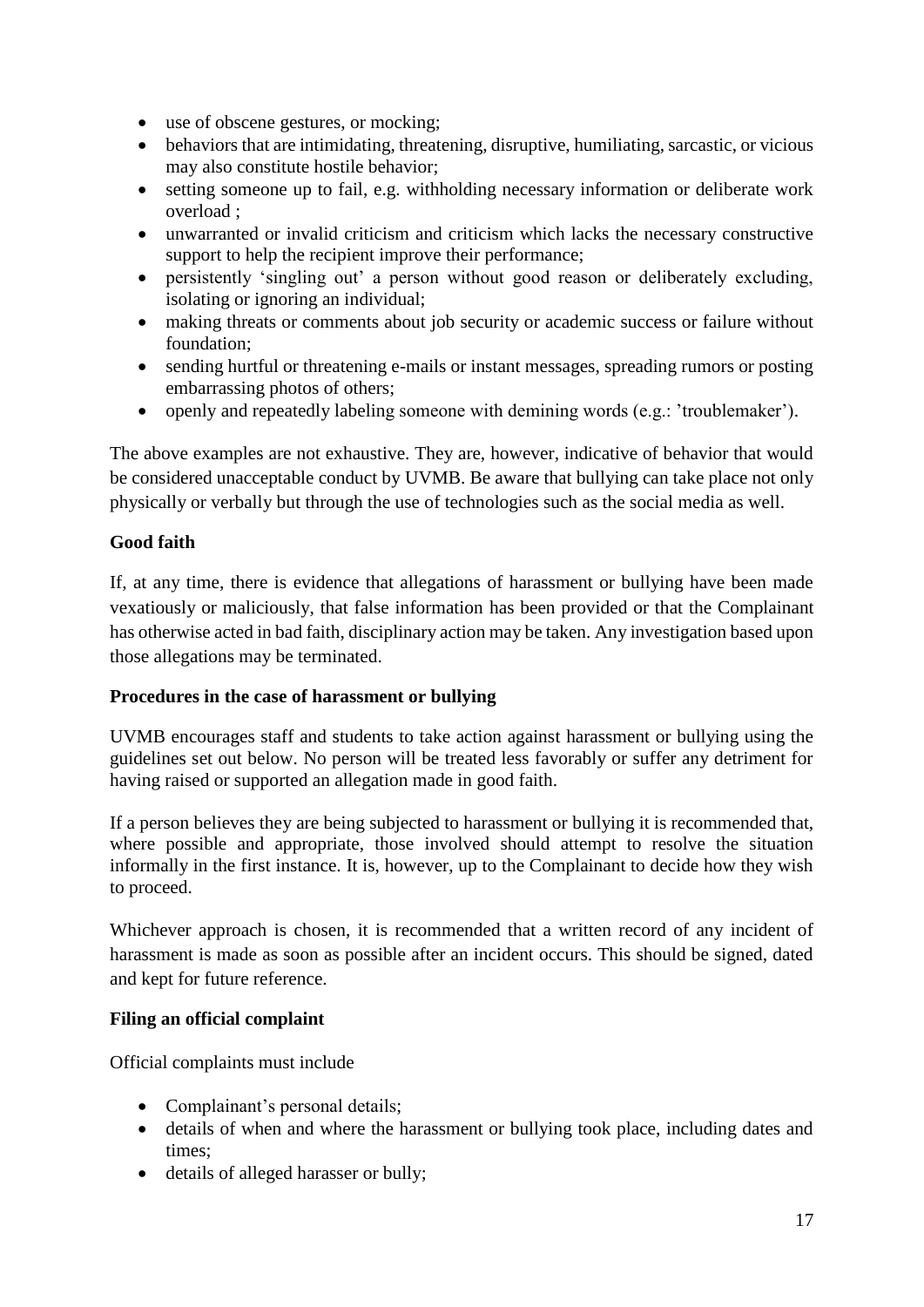- use of obscene gestures, or mocking;
- behaviors that are intimidating, threatening, disruptive, humiliating, sarcastic, or vicious may also constitute hostile behavior;
- setting someone up to fail, e.g. withholding necessary information or deliberate work overload ;
- unwarranted or invalid criticism and criticism which lacks the necessary constructive support to help the recipient improve their performance;
- persistently 'singling out' a person without good reason or deliberately excluding, isolating or ignoring an individual;
- making threats or comments about job security or academic success or failure without foundation;
- sending hurtful or threatening e-mails or instant messages, spreading rumors or posting embarrassing photos of others;
- openly and repeatedly labeling someone with demining words (e.g.: 'troublemaker').

The above examples are not exhaustive. They are, however, indicative of behavior that would be considered unacceptable conduct by UVMB. Be aware that bullying can take place not only physically or verbally but through the use of technologies such as the social media as well.

## **Good faith**

If, at any time, there is evidence that allegations of harassment or bullying have been made vexatiously or maliciously, that false information has been provided or that the Complainant has otherwise acted in bad faith, disciplinary action may be taken. Any investigation based upon those allegations may be terminated.

#### **Procedures in the case of harassment or bullying**

UVMB encourages staff and students to take action against harassment or bullying using the guidelines set out below. No person will be treated less favorably or suffer any detriment for having raised or supported an allegation made in good faith.

If a person believes they are being subjected to harassment or bullying it is recommended that, where possible and appropriate, those involved should attempt to resolve the situation informally in the first instance. It is, however, up to the Complainant to decide how they wish to proceed.

Whichever approach is chosen, it is recommended that a written record of any incident of harassment is made as soon as possible after an incident occurs. This should be signed, dated and kept for future reference.

#### **Filing an official complaint**

Official complaints must include

- Complainant's personal details;
- details of when and where the harassment or bullying took place, including dates and times;
- details of alleged harasser or bully;